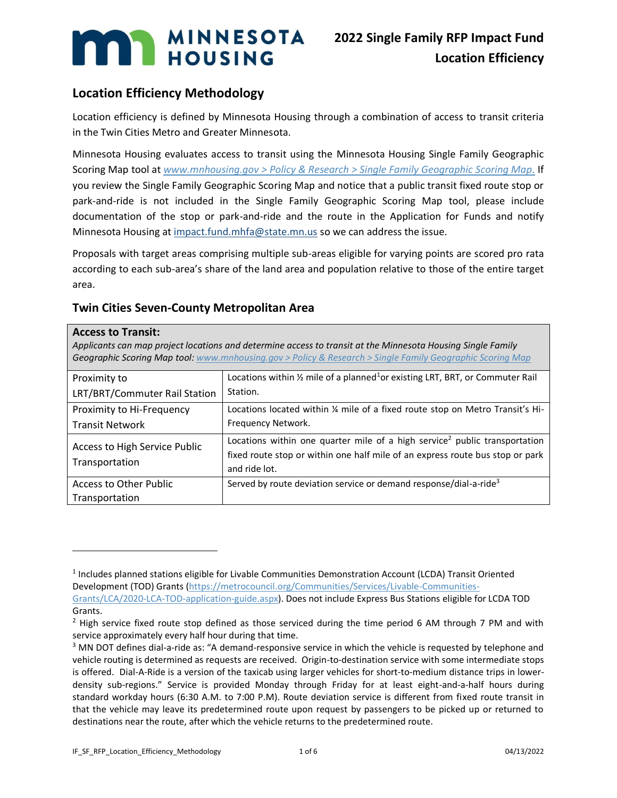# **Location Efficiency Methodology**

Location efficiency is defined by Minnesota Housing through a combination of access to transit criteria in the Twin Cities Metro and Greater Minnesota.

Minnesota Housing evaluates access to transit using the Minnesota Housing Single Family Geographic Scoring Map tool at *[www.mnhousing.gov > Policy & Research > Single Family Geographic Scoring Map.](https://www.mnhousing.gov/sites/Satellite?c=Page&cid=1520549955388&pagename=External%2FPage%2FEXTStandardLayout)* If you review the Single Family Geographic Scoring Map and notice that a public transit fixed route stop or park-and-ride is not included in the Single Family Geographic Scoring Map tool, please include documentation of the stop or park-and-ride and the route in the Application for Funds and notify Minnesota Housing a[t impact.fund.mhfa@state.mn.us](mailto:impact.fund.mhfa@state.mn.us) so we can address the issue.

Proposals with target areas comprising multiple sub-areas eligible for varying points are scored pro rata according to each sub-area's share of the land area and population relative to those of the entire target area.

# **Twin Cities Seven-County Metropolitan Area**

| <b>Access to Transit:</b><br>Applicants can map project locations and determine access to transit at the Minnesota Housing Single Family<br><b>Geographic Scoring Map tool:</b> www.mnhousing.gov > Policy & Research > Single Family Geographic Scoring Map |                                                                                                                                                                                          |
|--------------------------------------------------------------------------------------------------------------------------------------------------------------------------------------------------------------------------------------------------------------|------------------------------------------------------------------------------------------------------------------------------------------------------------------------------------------|
| Proximity to<br>LRT/BRT/Commuter Rail Station                                                                                                                                                                                                                | Locations within $\frac{1}{2}$ mile of a planned <sup>1</sup> or existing LRT, BRT, or Commuter Rail<br>Station.                                                                         |
| Proximity to Hi-Frequency<br><b>Transit Network</b>                                                                                                                                                                                                          | Locations located within 1/4 mile of a fixed route stop on Metro Transit's Hi-<br>Frequency Network.                                                                                     |
| Access to High Service Public<br>Transportation                                                                                                                                                                                                              | Locations within one quarter mile of a high service <sup>2</sup> public transportation<br>fixed route stop or within one half mile of an express route bus stop or park<br>and ride lot. |
| <b>Access to Other Public</b><br>Transportation                                                                                                                                                                                                              | Served by route deviation service or demand response/dial-a-ride <sup>3</sup>                                                                                                            |

<sup>&</sup>lt;sup>1</sup> Includes planned stations eligible for Livable Communities Demonstration Account (LCDA) Transit Oriented Development (TOD) Grants [\(https://metrocouncil.org/Communities/Services/Livable-Communities-](https://metrocouncil.org/Communities/Services/Livable-Communities-Grants/LCA/2020-LCA-TOD-application-guide.aspx)[Grants/LCA/2020-LCA-TOD-application-guide.aspx\)](https://metrocouncil.org/Communities/Services/Livable-Communities-Grants/LCA/2020-LCA-TOD-application-guide.aspx). Does not include Express Bus Stations eligible for LCDA TOD

Grants.

<sup>&</sup>lt;sup>2</sup> High service fixed route stop defined as those serviced during the time period 6 AM through 7 PM and with service approximately every half hour during that time.

<sup>&</sup>lt;sup>3</sup> MN DOT defines dial-a-ride as: "A demand-responsive service in which the vehicle is requested by telephone and vehicle routing is determined as requests are received. Origin-to-destination service with some intermediate stops is offered. Dial-A-Ride is a version of the taxicab using larger vehicles for short-to-medium distance trips in lowerdensity sub-regions." Service is provided Monday through Friday for at least eight-and-a-half hours during standard workday hours (6:30 A.M. to 7:00 P.M). Route deviation service is different from fixed route transit in that the vehicle may leave its predetermined route upon request by passengers to be picked up or returned to destinations near the route, after which the vehicle returns to the predetermined route.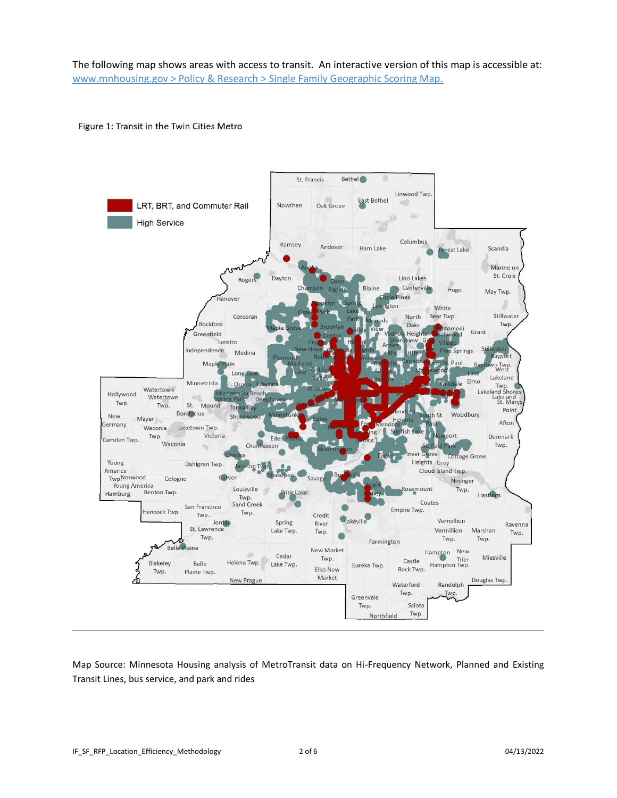The following map shows areas with access to transit. An interactive version of this map is accessible at: [www.mnhousing.gov > Policy & Research > Single Family Geographic Scoring Map.](https://www.mnhousing.gov/sites/Satellite?c=Page&cid=1520549955388&pagename=External%2FPage%2FEXTStandardLayout)

### Figure 1: Transit in the Twin Cities Metro



Map Source: Minnesota Housing analysis of MetroTransit data on Hi-Frequency Network, Planned and Existing Transit Lines, bus service, and park and rides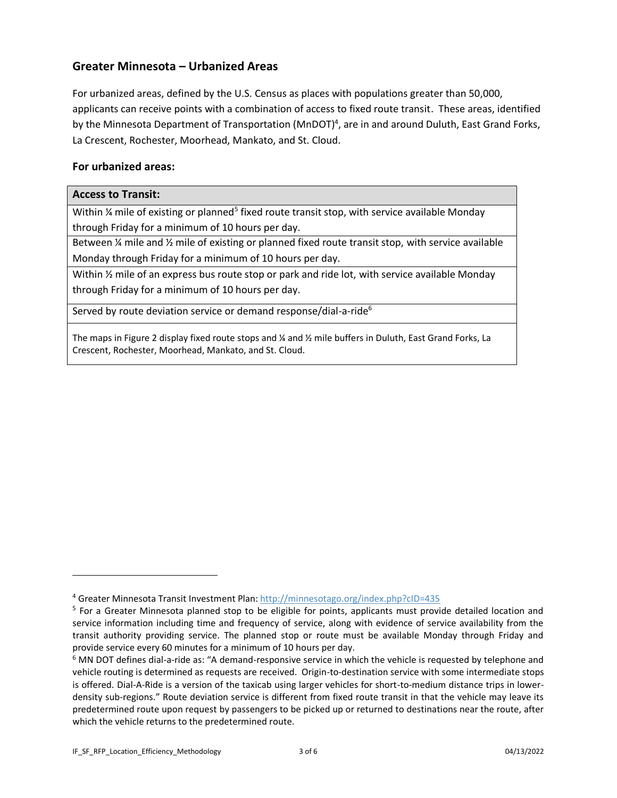# **Greater Minnesota – Urbanized Areas**

For urbanized areas, defined by the U.S. Census as places with populations greater than 50,000, applicants can receive points with a combination of access to fixed route transit. These areas, identified by the Minnesota Department of Transportation (MnDOT)<sup>4</sup>, are in and around Duluth, East Grand Forks, La Crescent, Rochester, Moorhead, Mankato, and St. Cloud.

## **For urbanized areas:**

## **Access to Transit:**

Within % mile of existing or planned<sup>5</sup> fixed route transit stop, with service available Monday through Friday for a minimum of 10 hours per day.

Between ¼ mile and ½ mile of existing or planned fixed route transit stop, with service available Monday through Friday for a minimum of 10 hours per day.

Within ½ mile of an express bus route stop or park and ride lot, with service available Monday through Friday for a minimum of 10 hours per day.

Served by route deviation service or demand response/dial-a-ride<sup>6</sup>

The maps in Figure 2 display fixed route stops and ¼ and ½ mile buffers in Duluth, East Grand Forks, La Crescent, Rochester, Moorhead, Mankato, and St. Cloud.

<sup>4</sup> Greater Minnesota Transit Investment Plan[: http://minnesotago.org/index.php?cID=435](http://minnesotago.org/index.php?cID=435)

<sup>&</sup>lt;sup>5</sup> For a Greater Minnesota planned stop to be eligible for points, applicants must provide detailed location and service information including time and frequency of service, along with evidence of service availability from the transit authority providing service. The planned stop or route must be available Monday through Friday and provide service every 60 minutes for a minimum of 10 hours per day.

 $6$  MN DOT defines dial-a-ride as: "A demand-responsive service in which the vehicle is requested by telephone and vehicle routing is determined as requests are received. Origin-to-destination service with some intermediate stops is offered. Dial-A-Ride is a version of the taxicab using larger vehicles for short-to-medium distance trips in lowerdensity sub-regions." Route deviation service is different from fixed route transit in that the vehicle may leave its predetermined route upon request by passengers to be picked up or returned to destinations near the route, after which the vehicle returns to the predetermined route.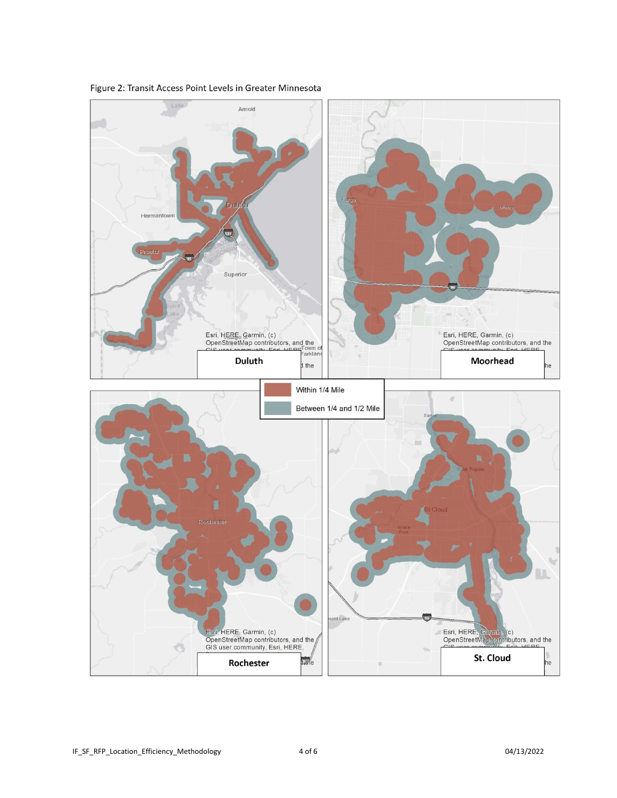

Figure 2: Transit Access Point Levels in Greater Minnesota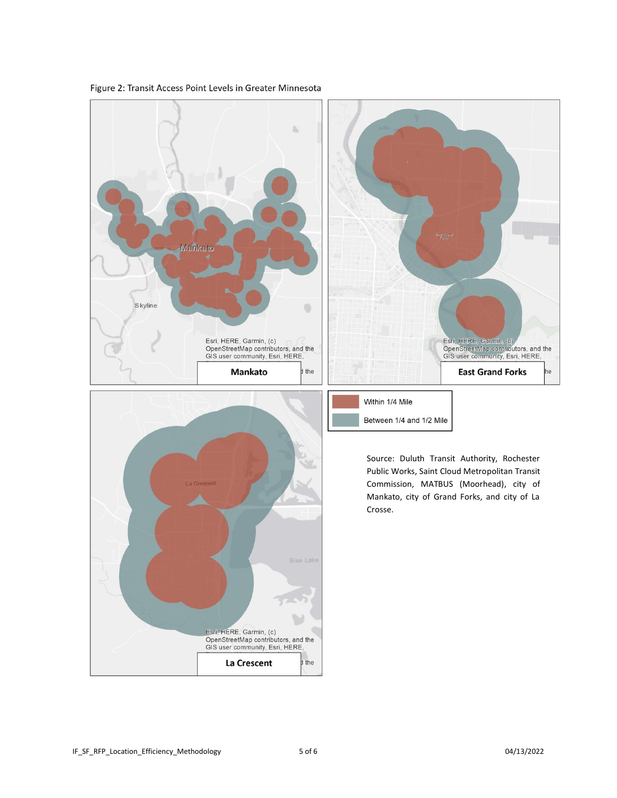